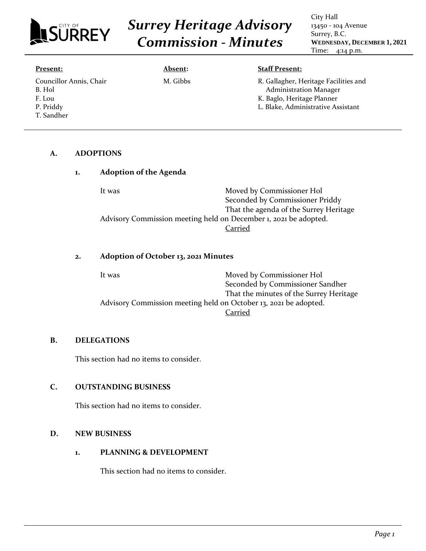

# *Surrey Heritage Advisory Commission - Minutes*

City Hall 13450 - 104 Avenue Surrey, B.C. **WEDNESDAY, DECEMBER 1, 2021** Time: 4:14 p.m.

| <b>Present:</b>                                                        | Absent:  | <b>Staff Present:</b>                                                                                                                      |
|------------------------------------------------------------------------|----------|--------------------------------------------------------------------------------------------------------------------------------------------|
| Councillor Annis, Chair<br>B. Hol<br>F. Lou<br>P. Priddy<br>T. Sandher | M. Gibbs | R. Gallagher, Heritage Facilities and<br><b>Administration Manager</b><br>K. Baglo, Heritage Planner<br>L. Blake, Administrative Assistant |

#### **A. ADOPTIONS**

| 1. | <b>Adoption of the Agenda</b>                                    |                                        |
|----|------------------------------------------------------------------|----------------------------------------|
|    | It was                                                           | Moved by Commissioner Hol              |
|    |                                                                  | Seconded by Commissioner Priddy        |
|    |                                                                  | That the agenda of the Surrey Heritage |
|    | Advisory Commission meeting held on December 1, 2021 be adopted. |                                        |
|    |                                                                  | `arried                                |

# **2. Adoption of October 13, 2021 Minutes**

| It was                                                           | Moved by Commissioner Hol               |
|------------------------------------------------------------------|-----------------------------------------|
|                                                                  | Seconded by Commissioner Sandher        |
|                                                                  | That the minutes of the Surrey Heritage |
| Advisory Commission meeting held on October 13, 2021 be adopted. |                                         |
|                                                                  | Carried                                 |

#### **B. DELEGATIONS**

This section had no items to consider.

## **C. OUTSTANDING BUSINESS**

This section had no items to consider.

#### **D. NEW BUSINESS**

**1. PLANNING & DEVELOPMENT**

This section had no items to consider.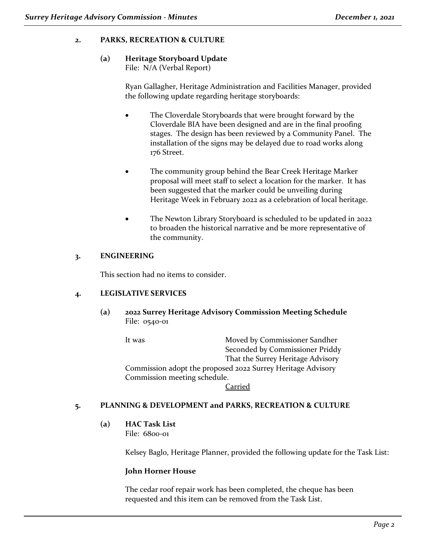# **2. PARKS, RECREATION & CULTURE**

# **(a) Heritage Storyboard Update**

File: N/A (Verbal Report)

Ryan Gallagher, Heritage Administration and Facilities Manager, provided the following update regarding heritage storyboards:

- The Cloverdale Storyboards that were brought forward by the Cloverdale BIA have been designed and are in the final proofing stages. The design has been reviewed by a Community Panel. The installation of the signs may be delayed due to road works along 176 Street.
- The community group behind the Bear Creek Heritage Marker proposal will meet staff to select a location for the marker. It has been suggested that the marker could be unveiling during Heritage Week in February 2022 as a celebration of local heritage.
- The Newton Library Storyboard is scheduled to be updated in 2022 to broaden the historical narrative and be more representative of the community.

## **3. ENGINEERING**

This section had no items to consider.

## **4. LEGISLATIVE SERVICES**

**(a) 2022 Surrey Heritage Advisory Commission Meeting Schedule**  File: 0540-01

It was Moved by Commissioner Sandher Seconded by Commissioner Priddy That the Surrey Heritage Advisory Commission adopt the proposed 2022 Surrey Heritage Advisory Commission meeting schedule.

**Carried** 

## **5. PLANNING & DEVELOPMENT and PARKS, RECREATION & CULTURE**

**(a) HAC Task List** File: 6800-01

Kelsey Baglo, Heritage Planner, provided the following update for the Task List:

## **John Horner House**

The cedar roof repair work has been completed, the cheque has been requested and this item can be removed from the Task List.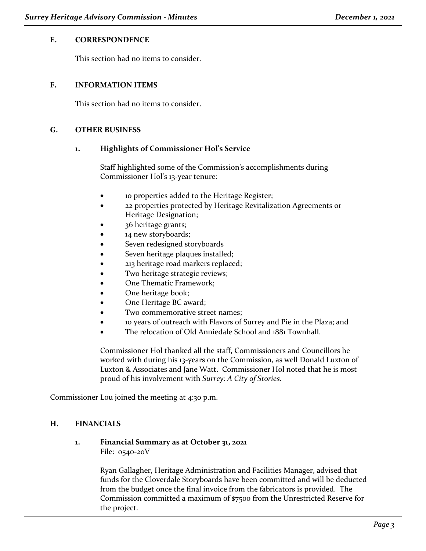#### **E. CORRESPONDENCE**

This section had no items to consider.

#### **F. INFORMATION ITEMS**

This section had no items to consider.

#### **G. OTHER BUSINESS**

#### **1. Highlights of Commissioner Hol's Service**

Staff highlighted some of the Commission's accomplishments during Commissioner Hol's 13-year tenure:

- 10 properties added to the Heritage Register;
- 22 properties protected by Heritage Revitalization Agreements or Heritage Designation;
- 36 heritage grants;
- 14 new storyboards;
- Seven redesigned storyboards
- Seven heritage plaques installed;
- 213 heritage road markers replaced;
- Two heritage strategic reviews;
- One Thematic Framework;
- One heritage book;
- One Heritage BC award;
- Two commemorative street names;
- 10 years of outreach with Flavors of Surrey and Pie in the Plaza; and
- The relocation of Old Anniedale School and 1881 Townhall.

Commissioner Hol thanked all the staff, Commissioners and Councillors he worked with during his 13-years on the Commission, as well Donald Luxton of Luxton & Associates and Jane Watt. Commissioner Hol noted that he is most proud of his involvement with *Surrey: A City of Stories.*

Commissioner Lou joined the meeting at 4:30 p.m.

## **H. FINANCIALS**

#### **1. Financial Summary as at October 31, 2021** File: 0540-20V

Ryan Gallagher, Heritage Administration and Facilities Manager, advised that funds for the Cloverdale Storyboards have been committed and will be deducted from the budget once the final invoice from the fabricators is provided. The Commission committed a maximum of \$7500 from the Unrestricted Reserve for the project.